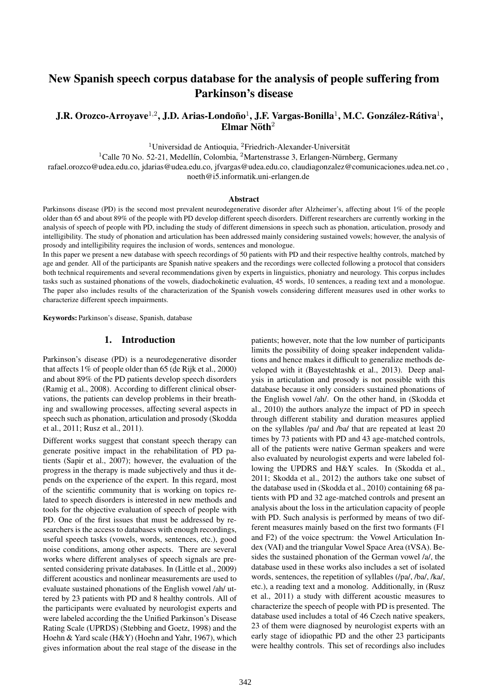# New Spanish speech corpus database for the analysis of people suffering from Parkinson's disease

# J.R. Orozco-Arroyave<sup>1,2</sup>, J.D. Arias-Londoño<sup>1</sup>, J.F. Vargas-Bonilla<sup>1</sup>, M.C. González-Rátiva<sup>1</sup>,  ${\bf Elmar}$  Nöth $^2$

 $1$ Universidad de Antioquia,  $2$ Friedrich-Alexander-Universität

<sup>1</sup>Calle 70 No. 52-21, Medellín, Colombia, <sup>2</sup>Martenstrasse 3, Erlangen-Nürnberg, Germany

rafael.orozco@udea.edu.co, jdarias@udea.edu.co, jfvargas@udea.edu.co, claudiagonzalez@comunicaciones.udea.net.co , noeth@i5.informatik.uni-erlangen.de

#### **Abstract**

Parkinsons disease (PD) is the second most prevalent neurodegenerative disorder after Alzheimer's, affecting about 1% of the people older than 65 and about 89% of the people with PD develop different speech disorders. Different researchers are currently working in the analysis of speech of people with PD, including the study of different dimensions in speech such as phonation, articulation, prosody and intelligibility. The study of phonation and articulation has been addressed mainly considering sustained vowels; however, the analysis of prosody and intelligibility requires the inclusion of words, sentences and monologue.

In this paper we present a new database with speech recordings of 50 patients with PD and their respective healthy controls, matched by age and gender. All of the participants are Spanish native speakers and the recordings were collected following a protocol that considers both technical requirements and several recommendations given by experts in linguistics, phoniatry and neurology. This corpus includes tasks such as sustained phonations of the vowels, diadochokinetic evaluation, 45 words, 10 sentences, a reading text and a monologue. The paper also includes results of the characterization of the Spanish vowels considering different measures used in other works to characterize different speech impairments.

Keywords: Parkinson's disease, Spanish, database

#### 1. Introduction

Parkinson's disease (PD) is a neurodegenerative disorder that affects 1% of people older than 65 (de Rijk et al., 2000) and about 89% of the PD patients develop speech disorders (Ramig et al., 2008). According to different clinical observations, the patients can develop problems in their breathing and swallowing processes, affecting several aspects in speech such as phonation, articulation and prosody (Skodda et al., 2011; Rusz et al., 2011).

Different works suggest that constant speech therapy can generate positive impact in the rehabilitation of PD patients (Sapir et al., 2007); however, the evaluation of the progress in the therapy is made subjectively and thus it depends on the experience of the expert. In this regard, most of the scientific community that is working on topics related to speech disorders is interested in new methods and tools for the objective evaluation of speech of people with PD. One of the first issues that must be addressed by researchers is the access to databases with enough recordings, useful speech tasks (vowels, words, sentences, etc.), good noise conditions, among other aspects. There are several works where different analyses of speech signals are presented considering private databases. In (Little et al., 2009) different acoustics and nonlinear measurements are used to evaluate sustained phonations of the English vowel /ah/ uttered by 23 patients with PD and 8 healthy controls. All of the participants were evaluated by neurologist experts and were labeled according the the Unified Parkinson's Disease Rating Scale (UPRDS) (Stebbing and Goetz, 1998) and the Hoehn & Yard scale (H&Y) (Hoehn and Yahr, 1967), which gives information about the real stage of the disease in the patients; however, note that the low number of participants limits the possibility of doing speaker independent validations and hence makes it difficult to generalize methods developed with it (Bayestehtashk et al., 2013). Deep analysis in articulation and prosody is not possible with this database because it only considers sustained phonations of the English vowel /ah/. On the other hand, in (Skodda et al., 2010) the authors analyze the impact of PD in speech through different stability and duration measures applied on the syllables /pa/ and /ba/ that are repeated at least 20 times by 73 patients with PD and 43 age-matched controls, all of the patients were native German speakers and were also evaluated by neurologist experts and were labeled following the UPDRS and H&Y scales. In (Skodda et al., 2011; Skodda et al., 2012) the authors take one subset of the database used in (Skodda et al., 2010) containing 68 patients with PD and 32 age-matched controls and present an analysis about the loss in the articulation capacity of people with PD. Such analysis is performed by means of two different measures mainly based on the first two formants (F1 and F2) of the voice spectrum: the Vowel Articulation Index (VAI) and the triangular Vowel Space Area (tVSA). Besides the sustained phonation of the German vowel /a/, the database used in these works also includes a set of isolated words, sentences, the repetition of syllables (/pa/, /ba/, /ka/, etc.), a reading text and a monolog. Additionally, in (Rusz et al., 2011) a study with different acoustic measures to characterize the speech of people with PD is presented. The database used includes a total of 46 Czech native speakers, 23 of them were diagnosed by neurologist experts with an early stage of idiopathic PD and the other 23 participants were healthy controls. This set of recordings also includes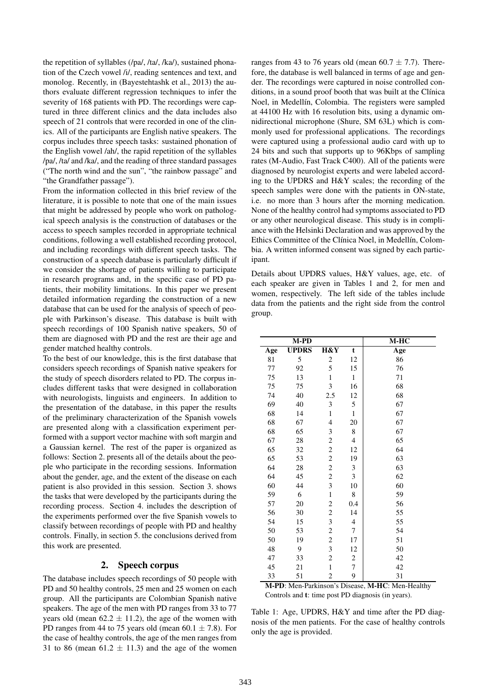the repetition of syllables (/pa/, /ta/, /ka/), sustained phonation of the Czech vowel /i/, reading sentences and text, and monolog. Recently, in (Bayestehtashk et al., 2013) the authors evaluate different regression techniques to infer the severity of 168 patients with PD. The recordings were captured in three different clinics and the data includes also speech of 21 controls that were recorded in one of the clinics. All of the participants are English native speakers. The corpus includes three speech tasks: sustained phonation of the English vowel /ah/, the rapid repetition of the syllables /pa/, /ta/ and /ka/, and the reading of three standard passages ("The north wind and the sun", "the rainbow passage" and "the Grandfather passage").

From the information collected in this brief review of the literature, it is possible to note that one of the main issues that might be addressed by people who work on pathological speech analysis is the construction of databases or the access to speech samples recorded in appropriate technical conditions, following a well established recording protocol, and including recordings with different speech tasks. The construction of a speech database is particularly difficult if we consider the shortage of patients willing to participate in research programs and, in the specific case of PD patients, their mobility limitations. In this paper we present detailed information regarding the construction of a new database that can be used for the analysis of speech of people with Parkinson's disease. This database is built with speech recordings of 100 Spanish native speakers, 50 of them are diagnosed with PD and the rest are their age and gender matched healthy controls.

To the best of our knowledge, this is the first database that considers speech recordings of Spanish native speakers for the study of speech disorders related to PD. The corpus includes different tasks that were designed in collaboration with neurologists, linguists and engineers. In addition to the presentation of the database, in this paper the results of the preliminary characterization of the Spanish vowels are presented along with a classification experiment performed with a support vector machine with soft margin and a Gaussian kernel. The rest of the paper is organized as follows: Section 2. presents all of the details about the people who participate in the recording sessions. Information about the gender, age, and the extent of the disease on each patient is also provided in this session. Section 3. shows the tasks that were developed by the participants during the recording process. Section 4. includes the description of the experiments performed over the five Spanish vowels to classify between recordings of people with PD and healthy controls. Finally, in section 5. the conclusions derived from this work are presented.

### 2. Speech corpus

The database includes speech recordings of 50 people with PD and 50 healthy controls, 25 men and 25 women on each group. All the participants are Colombian Spanish native speakers. The age of the men with PD ranges from 33 to 77 years old (mean  $62.2 \pm 11.2$ ), the age of the women with PD ranges from 44 to 75 years old (mean  $60.1 \pm 7.8$ ). For the case of healthy controls, the age of the men ranges from 31 to 86 (mean  $61.2 \pm 11.3$ ) and the age of the women

ranges from 43 to 76 years old (mean  $60.7 \pm 7.7$ ). Therefore, the database is well balanced in terms of age and gender. The recordings were captured in noise controlled conditions, in a sound proof booth that was built at the Clínica Noel, in Medellín, Colombia. The registers were sampled at 44100 Hz with 16 resolution bits, using a dynamic omnidirectional microphone (Shure, SM 63L) which is commonly used for professional applications. The recordings were captured using a professional audio card with up to 24 bits and such that supports up to 96Kbps of sampling rates (M-Audio, Fast Track C400). All of the patients were diagnosed by neurologist experts and were labeled according to the UPDRS and H&Y scales; the recording of the speech samples were done with the patients in ON-state, i.e. no more than 3 hours after the morning medication. None of the healthy control had symptoms associated to PD or any other neurological disease. This study is in compliance with the Helsinki Declaration and was approved by the Ethics Committee of the Clínica Noel, in Medellín, Colombia. A written informed consent was signed by each participant.

Details about UPDRS values, H&Y values, age, etc. of each speaker are given in Tables 1 and 2, for men and women, respectively. The left side of the tables include data from the patients and the right side from the control group.

|     | M-PD         |                          |                          | $M-HC$ |
|-----|--------------|--------------------------|--------------------------|--------|
| Age | <b>UPDRS</b> | H&Y                      | t                        | Age    |
| 81  | 5            | $\overline{c}$           | 12                       | 86     |
| 77  | 92           | 5                        | 15                       | 76     |
| 75  | 13           | $\mathbf{1}$             | $\mathbf{1}$             | 71     |
| 75  | 75           | 3                        | 16                       | 68     |
| 74  | 40           | 2.5                      | 12                       | 68     |
| 69  | 40           | 3                        | 5                        | 67     |
| 68  | 14           | $\mathbf{1}$             | $\,1$                    | 67     |
| 68  | 67           | $\overline{\mathcal{L}}$ | $20\,$                   | 67     |
| 68  | 65           | 3                        | 8                        | 67     |
| 67  | 28           | $\overline{\mathbf{c}}$  | $\overline{\mathcal{L}}$ | 65     |
| 65  | 32           | $\overline{\mathbf{c}}$  | 12                       | 64     |
| 65  | 53           | $\overline{c}$           | 19                       | 63     |
| 64  | 28           | $\overline{c}$           | 3                        | 63     |
| 64  | 45           | $\overline{\mathbf{c}}$  | 3                        | 62     |
| 60  | 44           | 3                        | 10                       | 60     |
| 59  | 6            | $\,1$                    | 8                        | 59     |
| 57  | 20           | $\overline{c}$           | 0.4                      | 56     |
| 56  | 30           | $\overline{\mathbf{c}}$  | 14                       | 55     |
| 54  | 15           | 3                        | $\overline{4}$           | 55     |
| 50  | 53           | $\overline{c}$           | $\boldsymbol{7}$         | 54     |
| 50  | 19           | $\overline{c}$           | 17                       | 51     |
| 48  | 9            | 3                        | 12                       | 50     |
| 47  | 33           | $\overline{c}$           | $\boldsymbol{2}$         | 42     |
| 45  | 21           | $\mathbf{1}$             | $\overline{7}$           | 42     |
| 33  | 51           | $\overline{2}$           | 9                        | 31     |

M-PD: Men-Parkinson's Disease, M-HC: Men-Healthy Controls and t: time post PD diagnosis (in years).

Table 1: Age, UPDRS, H&Y and time after the PD diagnosis of the men patients. For the case of healthy controls only the age is provided.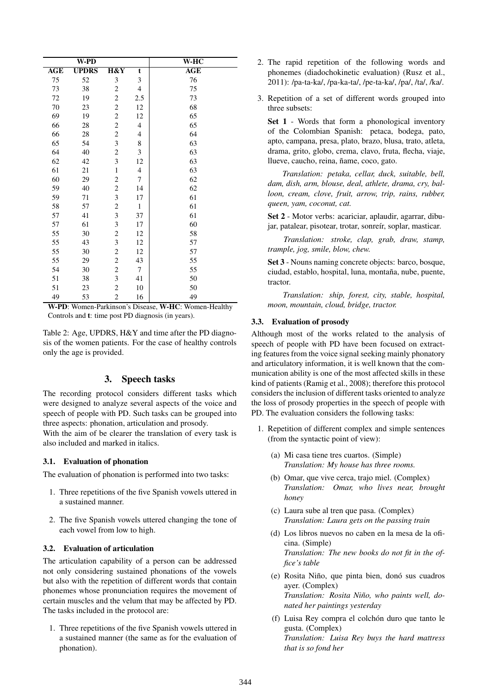|        | W-PD         |                         |                          | W-HC |
|--------|--------------|-------------------------|--------------------------|------|
| AGE    | <b>UPDRS</b> | H&Y                     | t                        | AGE  |
| 75     | 52           | 3                       | 3                        | 76   |
| 73     | 38           | 2                       | $\overline{\mathcal{A}}$ | 75   |
| 72     | 19           | $\boldsymbol{2}$        | 2.5                      | 73   |
| $70\,$ | 23           | $\overline{c}$          | 12                       | 68   |
| 69     | 19           | $\overline{c}$          | 12                       | 65   |
| 66     | 28           | $\overline{c}$          | $\overline{\mathcal{A}}$ | 65   |
| 66     | 28           | $\overline{c}$          | 4                        | 64   |
| 65     | 54           | 3                       | 8                        | 63   |
| 64     | 40           | $\overline{c}$          | $\mathfrak{Z}$           | 63   |
| 62     | 42           | 3                       | 12                       | 63   |
| 61     | 21           | $\mathbf{1}$            | $\overline{\mathcal{A}}$ | 63   |
| 60     | 29           | 2                       | 7                        | 62   |
| 59     | 40           | $\overline{c}$          | 14                       | 62   |
| 59     | 71           | 3                       | 17                       | 61   |
| 58     | 57           | $\overline{c}$          | $\mathbf{1}$             | 61   |
| 57     | 41           | 3                       | 37                       | 61   |
| 57     | 61           | 3                       | 17                       | 60   |
| 55     | 30           | $\overline{\mathbf{c}}$ | 12                       | 58   |
| 55     | 43           | 3                       | 12                       | 57   |
| 55     | 30           | $\overline{c}$          | 12                       | 57   |
| 55     | 29           | $\overline{c}$          | 43                       | 55   |
| 54     | 30           | $\boldsymbol{2}$        | $\tau$                   | 55   |
| 51     | 38           | 3                       | 41                       | 50   |
| 51     | 23           | $\overline{c}$          | 10                       | 50   |
| 49     | 53           | 2                       | 16                       | 49   |

W-PD: Women-Parkinson's Disease, W-HC: Women-Healthy Controls and t: time post PD diagnosis (in years).

Table 2: Age, UPDRS, H&Y and time after the PD diagnosis of the women patients. For the case of healthy controls only the age is provided.

# 3. Speech tasks

The recording protocol considers different tasks which were designed to analyze several aspects of the voice and speech of people with PD. Such tasks can be grouped into three aspects: phonation, articulation and prosody.

With the aim of be clearer the translation of every task is also included and marked in italics.

# 3.1. Evaluation of phonation

The evaluation of phonation is performed into two tasks:

- 1. Three repetitions of the five Spanish vowels uttered in a sustained manner.
- 2. The five Spanish vowels uttered changing the tone of each vowel from low to high.

#### 3.2. Evaluation of articulation

The articulation capability of a person can be addressed not only considering sustained phonations of the vowels but also with the repetition of different words that contain phonemes whose pronunciation requires the movement of certain muscles and the velum that may be affected by PD. The tasks included in the protocol are:

1. Three repetitions of the five Spanish vowels uttered in a sustained manner (the same as for the evaluation of phonation).

- 2. The rapid repetition of the following words and phonemes (diadochokinetic evaluation) (Rusz et al., 2011): /pa-ta-ka/, /pa-ka-ta/, /pe-ta-ka/, /pa/, /ta/, /ka/.
- 3. Repetition of a set of different words grouped into three subsets:

Set 1 - Words that form a phonological inventory of the Colombian Spanish: petaca, bodega, pato, apto, campana, presa, plato, brazo, blusa, trato, atleta, drama, grito, globo, crema, clavo, fruta, flecha, viaje, llueve, caucho, reina, ñame, coco, gato.

*Translation: petaka, cellar, duck, suitable, bell, dam, dish, arm, blouse, deal, athlete, drama, cry, balloon, cream, clove, fruit, arrow, trip, rains, rubber, queen, yam, coconut, cat.*

Set 2 - Motor verbs: acariciar, aplaudir, agarrar, dibujar, patalear, pisotear, trotar, sonreír, soplar, masticar.

*Translation: stroke, clap, grab, draw, stamp, trample, jog, smile, blow, chew.*

Set 3 - Nouns naming concrete objects: barco, bosque, ciudad, establo, hospital, luna, montaña, nube, puente, tractor.

*Translation: ship, forest, city, stable, hospital, moon, mountain, cloud, bridge, tractor.*

#### 3.3. Evaluation of prosody

Although most of the works related to the analysis of speech of people with PD have been focused on extracting features from the voice signal seeking mainly phonatory and articulatory information, it is well known that the communication ability is one of the most affected skills in these kind of patients (Ramig et al., 2008); therefore this protocol considers the inclusion of different tasks oriented to analyze the loss of prosody properties in the speech of people with PD. The evaluation considers the following tasks:

- 1. Repetition of different complex and simple sentences (from the syntactic point of view):
	- (a) Mi casa tiene tres cuartos. (Simple) *Translation: My house has three rooms.*
	- (b) Omar, que vive cerca, trajo miel. (Complex) *Translation: Omar, who lives near, brought honey*
	- (c) Laura sube al tren que pasa. (Complex) *Translation: Laura gets on the passing train*
	- (d) Los libros nuevos no caben en la mesa de la oficina. (Simple) *Translation: The new books do not fit in the office's table*
	- (e) Rosita Niño, que pinta bien, donó sus cuadros ayer. (Complex) *Translation: Rosita Niño, who paints well, donated her paintings yesterday*
	- (f) Luisa Rey compra el colchón duro que tanto le gusta. (Complex) *Translation: Luisa Rey buys the hard mattress that is so fond her*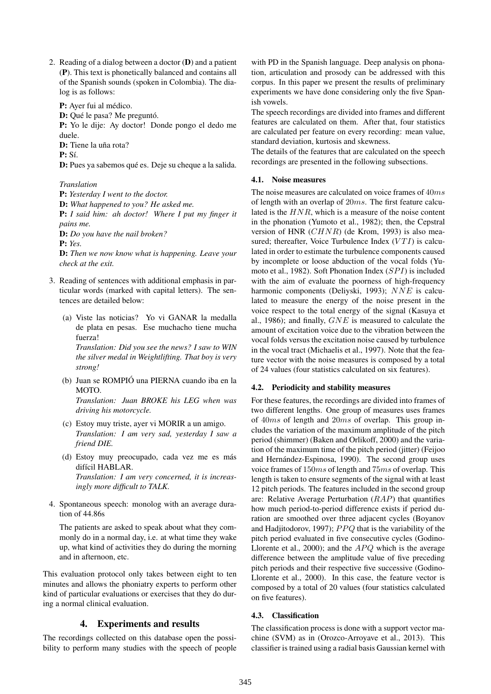2. Reading of a dialog between a doctor (D) and a patient (P). This text is phonetically balanced and contains all of the Spanish sounds (spoken in Colombia). The dialog is as follows:

P: Ayer fui al médico.

D: Qué le pasa? Me preguntó.

P: Yo le dije: Ay doctor! Donde pongo el dedo me duele.

D: Tiene la uña rota?

P: Sí.

D: Pues ya sabemos qué es. Deje su cheque a la salida.

#### *Translation*

P: *Yesterday I went to the doctor.* D: *What happened to you? He asked me.* P: *I said him: ah doctor! Where I put my finger it pains me.* D: *Do you have the nail broken?*

P: *Yes.*

D: *Then we now know what is happening. Leave your check at the exit.*

- 3. Reading of sentences with additional emphasis in particular words (marked with capital letters). The sentences are detailed below:
	- (a) Viste las noticias? Yo vi GANAR la medalla de plata en pesas. Ese muchacho tiene mucha fuerza! *Translation: Did you see the news? I saw to WIN*

*the silver medal in Weightlifting. That boy is very strong!*

(b) Juan se ROMPIÓ una PIERNA cuando iba en la MOTO. *Translation: Juan BROKE his LEG when was*

*driving his motorcycle.*

- (c) Estoy muy triste, ayer vi MORIR a un amigo. *Translation: I am very sad, yesterday I saw a friend DIE.*
- (d) Estoy muy preocupado, cada vez me es más difícil HABLAR. *Translation: I am very concerned, it is increasingly more difficult to TALK.*
- 4. Spontaneous speech: monolog with an average duration of 44.86s

The patients are asked to speak about what they commonly do in a normal day, i.e. at what time they wake up, what kind of activities they do during the morning and in afternoon, etc.

This evaluation protocol only takes between eight to ten minutes and allows the phoniatry experts to perform other kind of particular evaluations or exercises that they do during a normal clinical evaluation.

# 4. Experiments and results

The recordings collected on this database open the possibility to perform many studies with the speech of people with PD in the Spanish language. Deep analysis on phonation, articulation and prosody can be addressed with this corpus. In this paper we present the results of preliminary experiments we have done considering only the five Spanish vowels.

The speech recordings are divided into frames and different features are calculated on them. After that, four statistics are calculated per feature on every recording: mean value, standard deviation, kurtosis and skewness.

The details of the features that are calculated on the speech recordings are presented in the following subsections.

# 4.1. Noise measures

The noise measures are calculated on voice frames of 40*ms* of length with an overlap of 20*ms*. The first feature calculated is the *HNR*, which is a measure of the noise content in the phonation (Yumoto et al., 1982); then, the Cepstral version of HNR (*CHNR*) (de Krom, 1993) is also measured; thereafter, Voice Turbulence Index (*VTI*) is calculated in order to estimate the turbulence components caused by incomplete or loose abduction of the vocal folds (Yumoto et al., 1982). Soft Phonation Index (*SP I*) is included with the aim of evaluate the poorness of high-frequency harmonic components (Deliyski, 1993); *NNE* is calculated to measure the energy of the noise present in the voice respect to the total energy of the signal (Kasuya et al., 1986); and finally, *GNE* is measured to calculate the amount of excitation voice due to the vibration between the vocal folds versus the excitation noise caused by turbulence in the vocal tract (Michaelis et al., 1997). Note that the feature vector with the noise measures is composed by a total of 24 values (four statistics calculated on six features).

# 4.2. Periodicity and stability measures

For these features, the recordings are divided into frames of two different lengths. One group of measures uses frames of 40*ms* of length and 20*ms* of overlap. This group includes the variation of the maximum amplitude of the pitch period (shimmer) (Baken and Orlikoff, 2000) and the variation of the maximum time of the pitch period (jitter) (Feijoo and Hernández-Espinosa, 1990). The second group uses voice frames of 150*ms* of length and 75*ms* of overlap. This length is taken to ensure segments of the signal with at least 12 pitch periods. The features included in the second group are: Relative Average Perturbation (*RAP*) that quantifies how much period-to-period difference exists if period duration are smoothed over three adjacent cycles (Boyanov and Hadjitodorov, 1997); *PPQ* that is the variability of the pitch period evaluated in five consecutive cycles (Godino-Llorente et al., 2000); and the *APO* which is the average difference between the amplitude value of five preceding pitch periods and their respective five successive (Godino-Llorente et al., 2000). In this case, the feature vector is composed by a total of 20 values (four statistics calculated on five features).

# 4.3. Classification

The classification process is done with a support vector machine (SVM) as in (Orozco-Arroyave et al., 2013). This classifier is trained using a radial basis Gaussian kernel with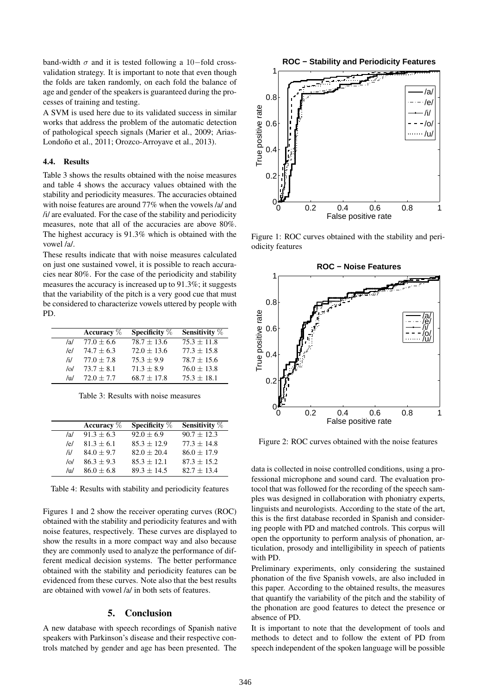band-width *σ* and it is tested following a 10*−*fold crossvalidation strategy. It is important to note that even though the folds are taken randomly, on each fold the balance of age and gender of the speakers is guaranteed during the processes of training and testing.

A SVM is used here due to its validated success in similar works that address the problem of the automatic detection of pathological speech signals (Marier et al., 2009; Arias-Londoño et al., 2011; Orozco-Arroyave et al., 2013).

#### 4.4. Results

Table 3 shows the results obtained with the noise measures and table 4 shows the accuracy values obtained with the stability and periodicity measures. The accuracies obtained with noise features are around 77% when the vowels /a/ and /i/ are evaluated. For the case of the stability and periodicity measures, note that all of the accuracies are above 80%. The highest accuracy is 91.3% which is obtained with the vowel /a/.

These results indicate that with noise measures calculated on just one sustained vowel, it is possible to reach accuracies near 80%. For the case of the periodicity and stability measures the accuracy is increased up to 91.3%; it suggests that the variability of the pitch is a very good cue that must be considered to characterize vowels uttered by people with PD.

|               | Accuracy $\%$  | Specificity $%$ | Sensitivity % |
|---------------|----------------|-----------------|---------------|
| /al           | $77.0 \pm 6.6$ | $78.7 + 13.6$   | $75.3 + 11.8$ |
| e             | $74.7 \pm 6.3$ | $72.0 + 13.6$   | $77.3 + 15.8$ |
| $\mathcal{H}$ | $77.0 \pm 7.8$ | $75.3 + 9.9$    | $78.7 + 15.6$ |
| $\sqrt{2}$    | $73.7 + 8.1$   | $71.3 + 8.9$    | $76.0 + 13.8$ |
| /11/          | $72.0 + 7.7$   | $68.7 + 17.8$   | $75.3 + 18.1$ |

Table 3: Results with noise measures

|               | Accuracy $\%$ | Specificity $%$ | <b>Sensitivity</b> % |
|---------------|---------------|-----------------|----------------------|
| /al           | $91.3 + 6.3$  | $92.0 + 6.9$    | $90.7 + 12.3$        |
| /e/           | $81.3 + 6.1$  | $85.3 \pm 12.9$ | $77.3 + 14.8$        |
| $\mathcal{H}$ | $84.0 + 9.7$  | $82.0 + 20.4$   | $86.0 + 17.9$        |
| $\sqrt{2}$    | $86.3 + 9.3$  | $85.3 + 12.1$   | $87.3 \pm 15.2$      |
| /11/          | $86.0 + 6.8$  | $89.3 + 14.5$   | $82.7 + 13.4$        |

Table 4: Results with stability and periodicity features

Figures 1 and 2 show the receiver operating curves (ROC) obtained with the stability and periodicity features and with noise features, respectively. These curves are displayed to show the results in a more compact way and also because they are commonly used to analyze the performance of different medical decision systems. The better performance obtained with the stability and periodicity features can be evidenced from these curves. Note also that the best results are obtained with vowel /a/ in both sets of features.

#### 5. Conclusion

A new database with speech recordings of Spanish native speakers with Parkinson's disease and their respective controls matched by gender and age has been presented. The



Figure 1: ROC curves obtained with the stability and periodicity features



Figure 2: ROC curves obtained with the noise features

data is collected in noise controlled conditions, using a professional microphone and sound card. The evaluation protocol that was followed for the recording of the speech samples was designed in collaboration with phoniatry experts, linguists and neurologists. According to the state of the art, this is the first database recorded in Spanish and considering people with PD and matched controls. This corpus will open the opportunity to perform analysis of phonation, articulation, prosody and intelligibility in speech of patients with PD.

Preliminary experiments, only considering the sustained phonation of the five Spanish vowels, are also included in this paper. According to the obtained results, the measures that quantify the variability of the pitch and the stability of the phonation are good features to detect the presence or absence of PD.

It is important to note that the development of tools and methods to detect and to follow the extent of PD from speech independent of the spoken language will be possible